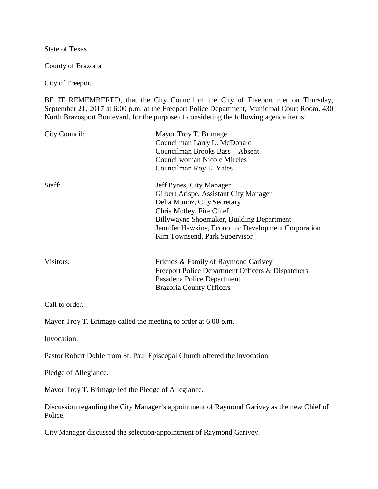State of Texas

County of Brazoria

City of Freeport

BE IT REMEMBERED, that the City Council of the City of Freeport met on Thursday, September 21, 2017 at 6:00 p.m. at the Freeport Police Department, Municipal Court Room, 430 North Brazosport Boulevard, for the purpose of considering the following agenda items:

| City Council: | Mayor Troy T. Brimage<br>Councilman Larry L. McDonald<br>Councilman Brooks Bass - Absent<br>Councilwoman Nicole Mireles<br>Councilman Roy E. Yates                                                                                                                |
|---------------|-------------------------------------------------------------------------------------------------------------------------------------------------------------------------------------------------------------------------------------------------------------------|
| Staff:        | Jeff Pynes, City Manager<br>Gilbert Arispe, Assistant City Manager<br>Delia Munoz, City Secretary<br>Chris Motley, Fire Chief<br>Billywayne Shoemaker, Building Department<br>Jennifer Hawkins, Economic Development Corporation<br>Kim Townsend, Park Supervisor |
| Visitors:     | Friends & Family of Raymond Garivey<br>Freeport Police Department Officers & Dispatchers<br>Pasadena Police Department<br><b>Brazoria County Officers</b>                                                                                                         |

Call to order.

Mayor Troy T. Brimage called the meeting to order at 6:00 p.m.

Invocation.

Pastor Robert Dohle from St. Paul Episcopal Church offered the invocation.

Pledge of Allegiance.

Mayor Troy T. Brimage led the Pledge of Allegiance.

Discussion regarding the City Manager's appointment of Raymond Garivey as the new Chief of Police.

City Manager discussed the selection/appointment of Raymond Garivey.